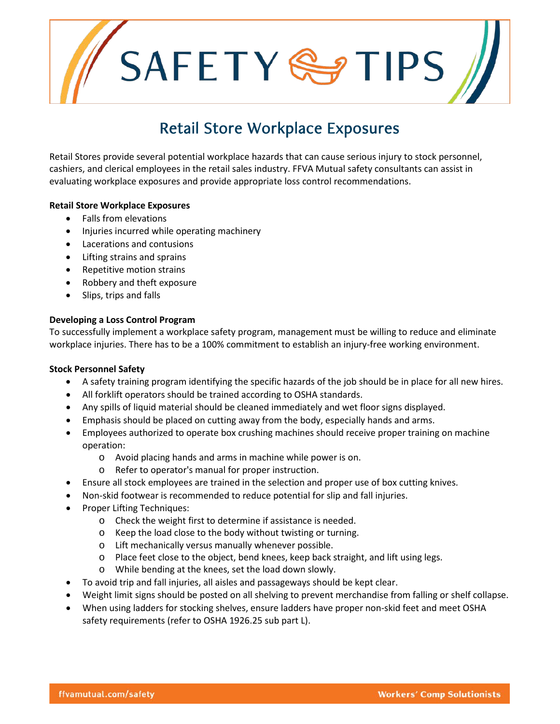SAFETYSTIPS

# Retail Store Workplace Exposures

Retail Stores provide several potential workplace hazards that can cause serious injury to stock personnel, cashiers, and clerical employees in the retail sales industry. FFVA Mutual safety consultants can assist in evaluating workplace exposures and provide appropriate loss control recommendations.

# **Retail Store Workplace Exposures**

- Falls from elevations
- Injuries incurred while operating machinery
- Lacerations and contusions
- Lifting strains and sprains
- Repetitive motion strains
- Robbery and theft exposure
- Slips, trips and falls

# **Developing a Loss Control Program**

To successfully implement a workplace safety program, management must be willing to reduce and eliminate workplace injuries. There has to be a 100% commitment to establish an injury-free working environment.

# **Stock Personnel Safety**

- A safety training program identifying the specific hazards of the job should be in place for all new hires.
- All forklift operators should be trained according to OSHA standards.
- Any spills of liquid material should be cleaned immediately and wet floor signs displayed.
- Emphasis should be placed on cutting away from the body, especially hands and arms.
- Employees authorized to operate box crushing machines should receive proper training on machine operation:
	- o Avoid placing hands and arms in machine while power is on.
	- o Refer to operator's manual for proper instruction.
- Ensure all stock employees are trained in the selection and proper use of box cutting knives.
- Non-skid footwear is recommended to reduce potential for slip and fall injuries.
- Proper Lifting Techniques:
	- o Check the weight first to determine if assistance is needed.
	- o Keep the load close to the body without twisting or turning.
	- o Lift mechanically versus manually whenever possible.
	- o Place feet close to the object, bend knees, keep back straight, and lift using legs.
	- o While bending at the knees, set the load down slowly.
- To avoid trip and fall injuries, all aisles and passageways should be kept clear.
- Weight limit signs should be posted on all shelving to prevent merchandise from falling or shelf collapse.
- When using ladders for stocking shelves, ensure ladders have proper non-skid feet and meet OSHA safety requirements (refer to OSHA 1926.25 sub part L).